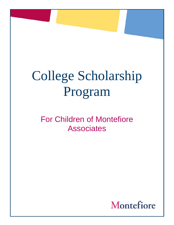## College Scholarship Program

## For Children of Montefiore Associates

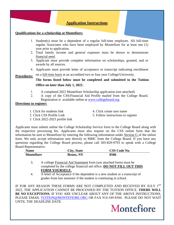

questions regarding the College Board process, please call 305-829-9793 to speak with a College Board Representative.

| <b>Name</b>       | City, State      | <b>CSS Code No.</b> |
|-------------------|------------------|---------------------|
| <b>Montefiore</b> | <b>Bronx, NY</b> | 0506                |

- 3. A college Financial Aid Statement form (use attached form) must be completed by the college financial aid office. **DO NOT FILL OUT THIS FORM YOURSELF.**
- 4. A letter of Acceptance if the dependent is a new student or a transcript of grades from last semester if the student is continuing in school.

IF FOR ANY REASON THESE FORMS ARE NOT COMPLETED AND RECEIVED BY JULY 1ST 2022, THE APPLICATION CANNOT BE PROCESSED BY THE TUITION OFFICE. **THERE WILL BE NO EXCEPTIONS.** IF YOU ARE UNCLEAR ABOUT ANY OF THE ABOVE INSTRUCTIONS, PLEASE EMAIL [TUITION@MONTEFIORE.ORG](mailto:TUITION@MONTEFIORE.ORG) OR FAX 914-349-8584. PLEASE DO NOT WAIT UNTIL THE DEADLINE DATE.

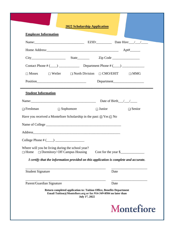| <b>Employee Information</b>                                                                                                      | 2022 Scholarship Application                                                                                   |  |
|----------------------------------------------------------------------------------------------------------------------------------|----------------------------------------------------------------------------------------------------------------|--|
|                                                                                                                                  |                                                                                                                |  |
|                                                                                                                                  |                                                                                                                |  |
|                                                                                                                                  |                                                                                                                |  |
|                                                                                                                                  |                                                                                                                |  |
|                                                                                                                                  | $\Box$ Moses $\Box$ Weiler $\Box$ North Division $\Box$ CMO/EHIT $\Box$ MMG                                    |  |
|                                                                                                                                  | Position Department                                                                                            |  |
|                                                                                                                                  |                                                                                                                |  |
| <b>Student Information</b>                                                                                                       | Name: $\frac{1}{2}$ Date of Birth $\frac{1}{2}$                                                                |  |
| $\Box$ Freshman                                                                                                                  | $\Box$ Sophomore $\Box$ Junior $\Box$ Senior                                                                   |  |
|                                                                                                                                  | Have you received a Montefiore Scholarship in the past: $\Box$ Yes $\Box$ No<br>Name of College                |  |
|                                                                                                                                  |                                                                                                                |  |
| College Phone # (___)<br>Where will you be living during the school year?<br>$\Box$ Dormitory/ Off Campus Housing<br>$\Box$ Home | $Cost for the year \$<br>I certify that the information provided on this application is complete and accurate. |  |
| <b>Student Signature</b>                                                                                                         | Date                                                                                                           |  |
|                                                                                                                                  | Date                                                                                                           |  |
| Parent/Guardian Signature                                                                                                        |                                                                                                                |  |